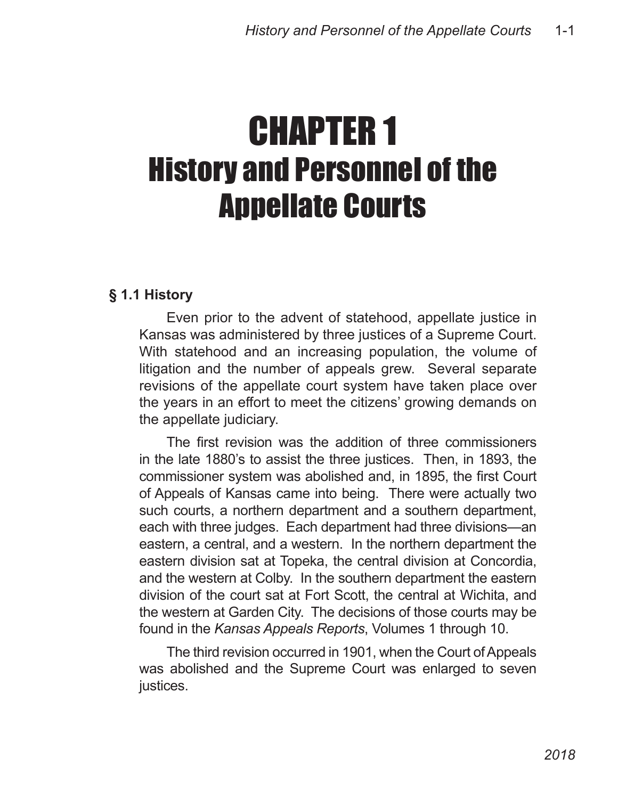# CHAPTER 1 History and Personnel of the Appellate Courts

# **§ 1.1 History**

Even prior to the advent of statehood, appellate justice in Kansas was administered by three justices of a Supreme Court. With statehood and an increasing population, the volume of litigation and the number of appeals grew. Several separate revisions of the appellate court system have taken place over the years in an effort to meet the citizens' growing demands on the appellate judiciary.

The first revision was the addition of three commissioners in the late 1880's to assist the three justices. Then, in 1893, the commissioner system was abolished and, in 1895, the first Court of Appeals of Kansas came into being. There were actually two such courts, a northern department and a southern department, each with three judges. Each department had three divisions—an eastern, a central, and a western. In the northern department the eastern division sat at Topeka, the central division at Concordia, and the western at Colby. In the southern department the eastern division of the court sat at Fort Scott, the central at Wichita, and the western at Garden City. The decisions of those courts may be found in the *Kansas Appeals Reports*, Volumes 1 through 10.

The third revision occurred in 1901, when the Court of Appeals was abolished and the Supreme Court was enlarged to seven justices.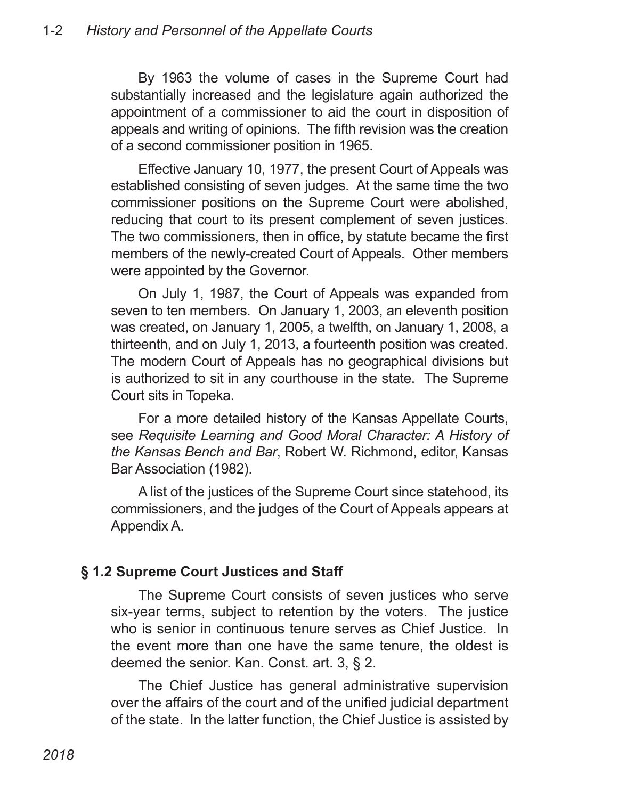By 1963 the volume of cases in the Supreme Court had substantially increased and the legislature again authorized the appointment of a commissioner to aid the court in disposition of appeals and writing of opinions. The fifth revision was the creation of a second commissioner position in 1965.

Effective January 10, 1977, the present Court of Appeals was established consisting of seven judges. At the same time the two commissioner positions on the Supreme Court were abolished, reducing that court to its present complement of seven justices. The two commissioners, then in office, by statute became the first members of the newly-created Court of Appeals. Other members were appointed by the Governor.

On July 1, 1987, the Court of Appeals was expanded from seven to ten members. On January 1, 2003, an eleventh position was created, on January 1, 2005, a twelfth, on January 1, 2008, a thirteenth, and on July 1, 2013, a fourteenth position was created. The modern Court of Appeals has no geographical divisions but is authorized to sit in any courthouse in the state. The Supreme Court sits in Topeka.

For a more detailed history of the Kansas Appellate Courts, see *Requisite Learning and Good Moral Character: A History of the Kansas Bench and Bar*, Robert W. Richmond, editor, Kansas Bar Association (1982).

A list of the justices of the Supreme Court since statehood, its commissioners, and the judges of the Court of Appeals appears at Appendix A.

# **§ 1.2 Supreme Court Justices and Staff**

The Supreme Court consists of seven justices who serve six-year terms, subject to retention by the voters. The justice who is senior in continuous tenure serves as Chief Justice. In the event more than one have the same tenure, the oldest is deemed the senior. Kan. Const. art. 3, § 2.

The Chief Justice has general administrative supervision over the affairs of the court and of the unified judicial department of the state. In the latter function, the Chief Justice is assisted by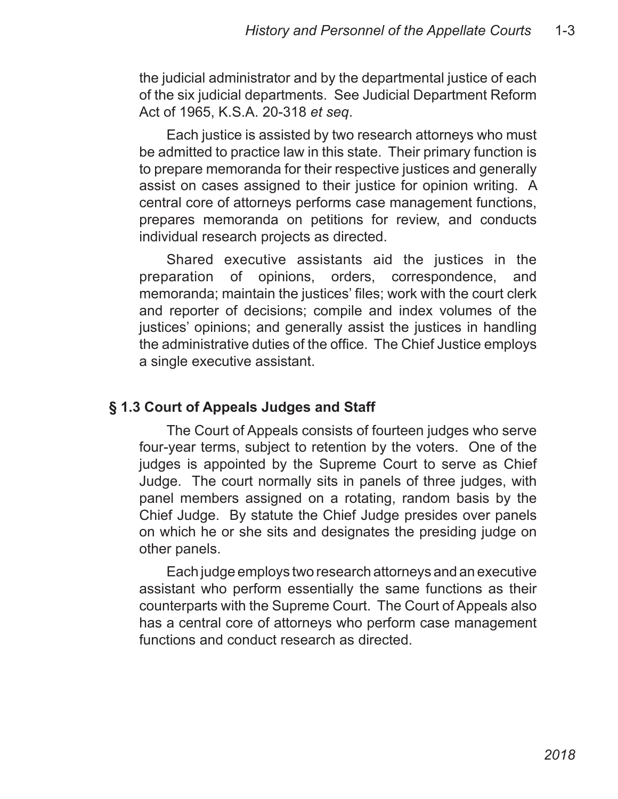the judicial administrator and by the departmental justice of each of the six judicial departments. See Judicial Department Reform Act of 1965, K.S.A. 20-318 *et seq*.

Each justice is assisted by two research attorneys who must be admitted to practice law in this state. Their primary function is to prepare memoranda for their respective justices and generally assist on cases assigned to their justice for opinion writing. A central core of attorneys performs case management functions, prepares memoranda on petitions for review, and conducts individual research projects as directed.

Shared executive assistants aid the justices in the preparation of opinions, orders, correspondence, and memoranda; maintain the justices' files; work with the court clerk and reporter of decisions; compile and index volumes of the justices' opinions; and generally assist the justices in handling the administrative duties of the office. The Chief Justice employs a single executive assistant.

#### **§ 1.3 Court of Appeals Judges and Staff**

The Court of Appeals consists of fourteen judges who serve four-year terms, subject to retention by the voters. One of the judges is appointed by the Supreme Court to serve as Chief Judge. The court normally sits in panels of three judges, with panel members assigned on a rotating, random basis by the Chief Judge. By statute the Chief Judge presides over panels on which he or she sits and designates the presiding judge on other panels.

Each judge employs two research attorneys and an executive assistant who perform essentially the same functions as their counterparts with the Supreme Court. The Court of Appeals also has a central core of attorneys who perform case management functions and conduct research as directed.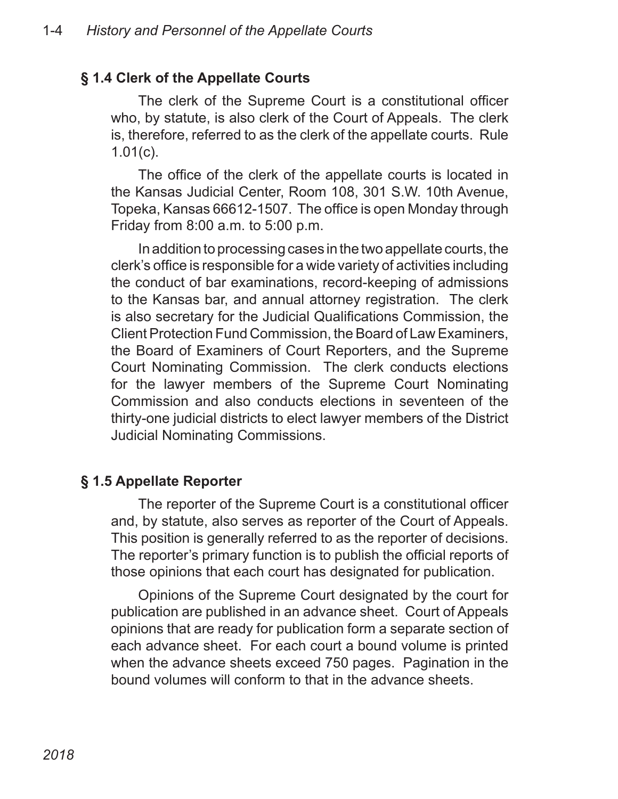#### **§ 1.4 Clerk of the Appellate Courts**

The clerk of the Supreme Court is a constitutional officer who, by statute, is also clerk of the Court of Appeals. The clerk is, therefore, referred to as the clerk of the appellate courts. Rule 1.01(c).

The office of the clerk of the appellate courts is located in the Kansas Judicial Center, Room 108, 301 S.W. 10th Avenue, Topeka, Kansas 66612-1507. The office is open Monday through Friday from 8:00 a.m. to 5:00 p.m.

In addition to processing cases in the two appellate courts, the clerk's office is responsible for a wide variety of activities including the conduct of bar examinations, record-keeping of admissions to the Kansas bar, and annual attorney registration. The clerk is also secretary for the Judicial Qualifications Commission, the Client Protection Fund Commission, the Board of Law Examiners, the Board of Examiners of Court Reporters, and the Supreme Court Nominating Commission. The clerk conducts elections for the lawyer members of the Supreme Court Nominating Commission and also conducts elections in seventeen of the thirty-one judicial districts to elect lawyer members of the District Judicial Nominating Commissions.

#### **§ 1.5 Appellate Reporter**

The reporter of the Supreme Court is a constitutional officer and, by statute, also serves as reporter of the Court of Appeals. This position is generally referred to as the reporter of decisions. The reporter's primary function is to publish the official reports of those opinions that each court has designated for publication.

Opinions of the Supreme Court designated by the court for publication are published in an advance sheet. Court of Appeals opinions that are ready for publication form a separate section of each advance sheet. For each court a bound volume is printed when the advance sheets exceed 750 pages. Pagination in the bound volumes will conform to that in the advance sheets.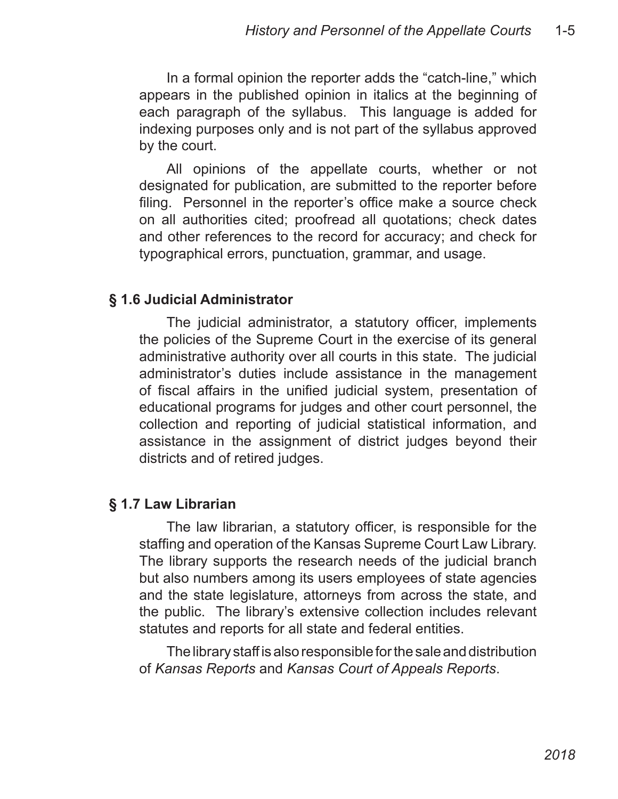In a formal opinion the reporter adds the "catch-line," which appears in the published opinion in italics at the beginning of each paragraph of the syllabus. This language is added for indexing purposes only and is not part of the syllabus approved by the court.

All opinions of the appellate courts, whether or not designated for publication, are submitted to the reporter before filing. Personnel in the reporter's office make a source check on all authorities cited; proofread all quotations; check dates and other references to the record for accuracy; and check for typographical errors, punctuation, grammar, and usage.

#### **§ 1.6 Judicial Administrator**

The judicial administrator, a statutory officer, implements the policies of the Supreme Court in the exercise of its general administrative authority over all courts in this state. The judicial administrator's duties include assistance in the management of fiscal affairs in the unified judicial system, presentation of educational programs for judges and other court personnel, the collection and reporting of judicial statistical information, and assistance in the assignment of district judges beyond their districts and of retired judges.

# **§ 1.7 Law Librarian**

The law librarian, a statutory officer, is responsible for the staffing and operation of the Kansas Supreme Court Law Library. The library supports the research needs of the judicial branch but also numbers among its users employees of state agencies and the state legislature, attorneys from across the state, and the public. The library's extensive collection includes relevant statutes and reports for all state and federal entities.

The library staff is also responsible for the sale and distribution of *Kansas Reports* and *Kansas Court of Appeals Reports*.